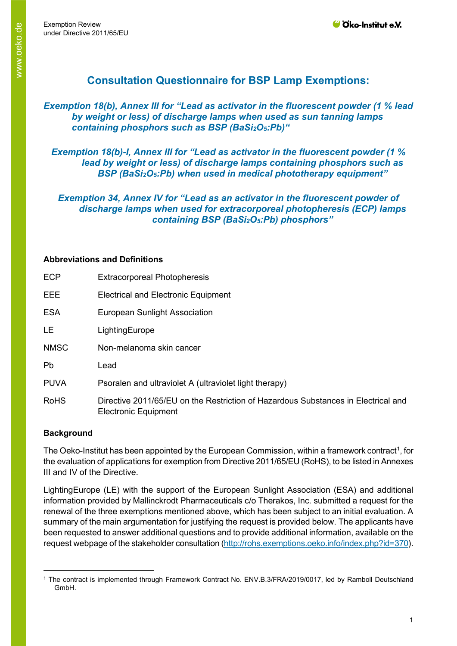# **Consultation Questionnaire for BSP Lamp Exemptions:**

*Exemption 18(b), Annex III for "Lead as activator in the fluorescent powder (1 % lead by weight or less) of discharge lamps when used as sun tanning lamps containing phosphors such as BSP (BaSi2O5:Pb)"* 

*Exemption 18(b)-I, Annex III for "Lead as activator in the fluorescent powder (1 % lead by weight or less) of discharge lamps containing phosphors such as BSP (BaSi2O5:Pb) when used in medical phototherapy equipment"*

*Exemption 34, Annex IV for "Lead as an activator in the fluorescent powder of discharge lamps when used for extracorporeal photopheresis (ECP) lamps containing BSP (BaSi2O5:Pb) phosphors"*

#### **Abbreviations and Definitions**

| <b>Extracorporeal Photopheresis</b>                                                                              |
|------------------------------------------------------------------------------------------------------------------|
| <b>Electrical and Electronic Equipment</b>                                                                       |
| <b>European Sunlight Association</b>                                                                             |
| LightingEurope                                                                                                   |
| Non-melanoma skin cancer                                                                                         |
| Lead                                                                                                             |
| Psoralen and ultraviolet A (ultraviolet light therapy)                                                           |
| Directive 2011/65/EU on the Restriction of Hazardous Substances in Electrical and<br><b>Electronic Equipment</b> |
|                                                                                                                  |

# **Background**

The Oeko-Institut has been appointed by the European Commission, within a framework contract<sup>[1](#page-0-0)</sup>, for the evaluation of applications for exemption from Directive 2011/65/EU (RoHS), to be listed in Annexes III and IV of the Directive.

LightingEurope (LE) with the support of the European Sunlight Association (ESA) and additional information provided by Mallinckrodt Pharmaceuticals c/o Therakos, Inc. submitted a request for the renewal of the three exemptions mentioned above, which has been subject to an initial evaluation. A summary of the main argumentation for justifying the request is provided below. The applicants have been requested to answer additional questions and to provide additional information, available on the request webpage of the stakeholder consultation [\(http://rohs.exemptions.oeko.info/index.php?id=370\)](http://rohs.exemptions.oeko.info/index.php?id=370).

<span id="page-0-0"></span><sup>1</sup> The contract is implemented through Framework Contract No. ENV.B.3/FRA/2019/0017, led by Ramboll Deutschland GmbH.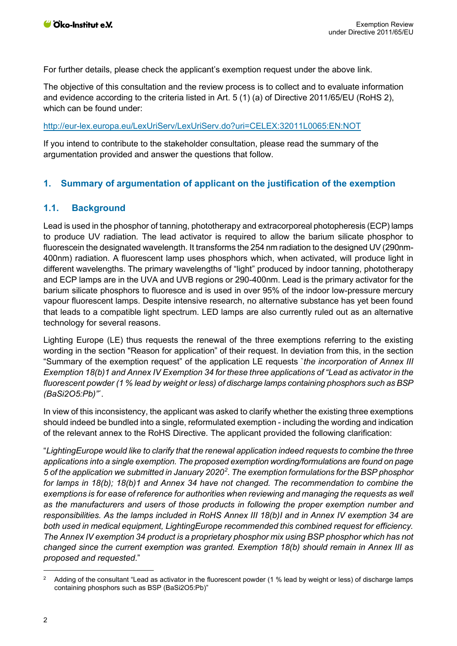For further details, please check the applicant's exemption request under the above link.

The objective of this consultation and the review process is to collect and to evaluate information and evidence according to the criteria listed in Art. 5 (1) (a) of Directive 2011/65/EU (RoHS 2), which can be found under:

#### <http://eur-lex.europa.eu/LexUriServ/LexUriServ.do?uri=CELEX:32011L0065:EN:NOT>

If you intend to contribute to the stakeholder consultation, please read the summary of the argumentation provided and answer the questions that follow.

# **1. Summary of argumentation of applicant on the justification of the exemption**

# **1.1. Background**

Lead is used in the phosphor of tanning, phototherapy and extracorporeal photopheresis (ECP) lamps to produce UV radiation. The lead activator is required to allow the barium silicate phosphor to fluorescein the designated wavelength. It transforms the 254 nm radiation to the designed UV (290nm-400nm) radiation. A fluorescent lamp uses phosphors which, when activated, will produce light in different wavelengths. The primary wavelengths of "light" produced by indoor tanning, phototherapy and ECP lamps are in the UVA and UVB regions or 290-400nm. Lead is the primary activator for the barium silicate phosphors to fluoresce and is used in over 95% of the indoor low-pressure mercury vapour fluorescent lamps. Despite intensive research, no alternative substance has yet been found that leads to a compatible light spectrum. LED lamps are also currently ruled out as an alternative technology for several reasons.

Lighting Europe (LE) thus requests the renewal of the three exemptions referring to the existing wording in the section "Reason for application" of their request. In deviation from this, in the section "Summary of the exemption request" of the application LE requests `*the incorporation of Annex III Exemption 18(b)1 and Annex IV Exemption 34 for these three applications of "Lead as activator in the fluorescent powder (1 % lead by weight or less) of discharge lamps containing phosphors such as BSP (BaSi2O5:Pb)"*´.

In view of this inconsistency, the applicant was asked to clarify whether the existing three exemptions should indeed be bundled into a single, reformulated exemption - including the wording and indication of the relevant annex to the RoHS Directive. The applicant provided the following clarification:

"*LightingEurope would like to clarify that the renewal application indeed requests to combine the three applications into a single exemption. The proposed exemption wording/formulations are found on page 5 of the application we submitted in January 2020[2](#page-1-0) . The exemption formulations for the BSP phosphor for lamps in 18(b); 18(b)1 and Annex 34 have not changed. The recommendation to combine the exemptions is for ease of reference for authorities when reviewing and managing the requests as well as the manufacturers and users of those products in following the proper exemption number and responsibilities. As the lamps included in RoHS Annex III 18(b)I and in Annex IV exemption 34 are both used in medical equipment, LightingEurope recommended this combined request for efficiency. The Annex IV exemption 34 product is a proprietary phosphor mix using BSP phosphor which has not changed since the current exemption was granted. Exemption 18(b) should remain in Annex III as proposed and requested*."

<span id="page-1-0"></span> $2$  Adding of the consultant "Lead as activator in the fluorescent powder (1 % lead by weight or less) of discharge lamps containing phosphors such as BSP (BaSi2O5:Pb)"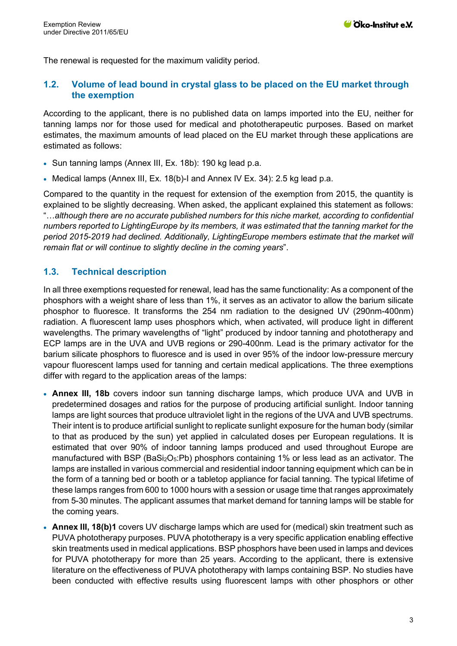The renewal is requested for the maximum validity period.

# **1.2. Volume of lead bound in crystal glass to be placed on the EU market through the exemption**

According to the applicant, there is no published data on lamps imported into the EU, neither for tanning lamps nor for those used for medical and phototherapeutic purposes. Based on market estimates, the maximum amounts of lead placed on the EU market through these applications are estimated as follows:

- Sun tanning lamps (Annex III, Ex. 18b): 190 kg lead p.a.
- Medical lamps (Annex III, Ex. 18(b)-I and Annex IV Ex. 34): 2.5 kg lead p.a.

Compared to the quantity in the request for extension of the exemption from 2015, the quantity is explained to be slightly decreasing. When asked, the applicant explained this statement as follows: "…*although there are no accurate published numbers for this niche market, according to confidential numbers reported to LightingEurope by its members, it was estimated that the tanning market for the period 2015-2019 had declined. Additionally, LightingEurope members estimate that the market will remain flat or will continue to slightly decline in the coming years*".

# **1.3. Technical description**

In all three exemptions requested for renewal, lead has the same functionality: As a component of the phosphors with a weight share of less than 1%, it serves as an activator to allow the barium silicate phosphor to fluoresce. It transforms the 254 nm radiation to the designed UV (290nm-400nm) radiation. A fluorescent lamp uses phosphors which, when activated, will produce light in different wavelengths. The primary wavelengths of "light" produced by indoor tanning and phototherapy and ECP lamps are in the UVA and UVB regions or 290-400nm. Lead is the primary activator for the barium silicate phosphors to fluoresce and is used in over 95% of the indoor low-pressure mercury vapour fluorescent lamps used for tanning and certain medical applications. The three exemptions differ with regard to the application areas of the lamps:

- **Annex III, 18b** covers indoor sun tanning discharge lamps, which produce UVA and UVB in predetermined dosages and ratios for the purpose of producing artificial sunlight. Indoor tanning lamps are light sources that produce ultraviolet light in the regions of the UVA and UVB spectrums. Their intent is to produce artificial sunlight to replicate sunlight exposure for the human body (similar to that as produced by the sun) yet applied in calculated doses per European regulations. It is estimated that over 90% of indoor tanning lamps produced and used throughout Europe are manufactured with BSP (BaSi<sub>2</sub>O<sub>5</sub>:Pb) phosphors containing 1% or less lead as an activator. The lamps are installed in various commercial and residential indoor tanning equipment which can be in the form of a tanning bed or booth or a tabletop appliance for facial tanning. The typical lifetime of these lamps ranges from 600 to 1000 hours with a session or usage time that ranges approximately from 5-30 minutes. The applicant assumes that market demand for tanning lamps will be stable for the coming years.
- **Annex III, 18(b)1** covers UV discharge lamps which are used for (medical) skin treatment such as PUVA phototherapy purposes. PUVA phototherapy is a very specific application enabling effective skin treatments used in medical applications. BSP phosphors have been used in lamps and devices for PUVA phototherapy for more than 25 years. According to the applicant, there is extensive literature on the effectiveness of PUVA phototherapy with lamps containing BSP. No studies have been conducted with effective results using fluorescent lamps with other phosphors or other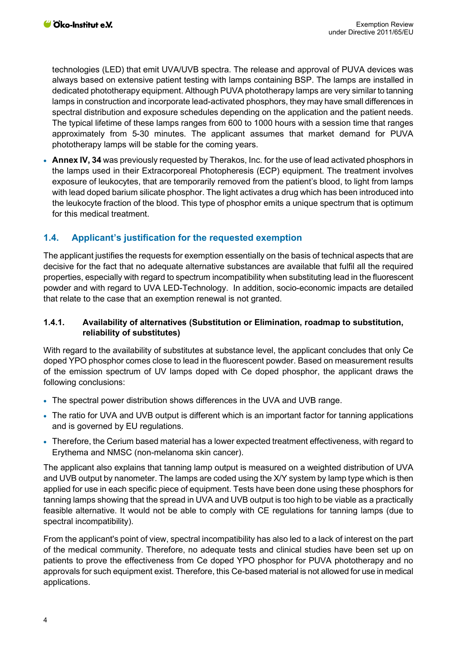technologies (LED) that emit UVA/UVB spectra. The release and approval of PUVA devices was always based on extensive patient testing with lamps containing BSP. The lamps are installed in dedicated phototherapy equipment. Although PUVA phototherapy lamps are very similar to tanning lamps in construction and incorporate lead-activated phosphors, they may have small differences in spectral distribution and exposure schedules depending on the application and the patient needs. The typical lifetime of these lamps ranges from 600 to 1000 hours with a session time that ranges approximately from 5-30 minutes. The applicant assumes that market demand for PUVA phototherapy lamps will be stable for the coming years.

• **Annex IV, 34** was previously requested by Therakos, Inc. for the use of lead activated phosphors in the lamps used in their Extracorporeal Photopheresis (ECP) equipment. The treatment involves exposure of leukocytes, that are temporarily removed from the patient's blood, to light from lamps with lead doped barium silicate phosphor. The light activates a drug which has been introduced into the leukocyte fraction of the blood. This type of phosphor emits a unique spectrum that is optimum for this medical treatment.

# **1.4. Applicant's justification for the requested exemption**

The applicant justifies the requests for exemption essentially on the basis of technical aspects that are decisive for the fact that no adequate alternative substances are available that fulfil all the required properties, especially with regard to spectrum incompatibility when substituting lead in the fluorescent powder and with regard to UVA LED-Technology. In addition, socio-economic impacts are detailed that relate to the case that an exemption renewal is not granted.

#### **1.4.1. Availability of alternatives (Substitution or Elimination, roadmap to substitution, reliability of substitutes)**

With regard to the availability of substitutes at substance level, the applicant concludes that only Ce doped YPO phosphor comes close to lead in the fluorescent powder. Based on measurement results of the emission spectrum of UV lamps doped with Ce doped phosphor, the applicant draws the following conclusions:

- The spectral power distribution shows differences in the UVA and UVB range.
- The ratio for UVA and UVB output is different which is an important factor for tanning applications and is governed by EU regulations.
- Therefore, the Cerium based material has a lower expected treatment effectiveness, with regard to Erythema and NMSC (non-melanoma skin cancer).

The applicant also explains that tanning lamp output is measured on a weighted distribution of UVA and UVB output by nanometer. The lamps are coded using the X/Y system by lamp type which is then applied for use in each specific piece of equipment. Tests have been done using these phosphors for tanning lamps showing that the spread in UVA and UVB output is too high to be viable as a practically feasible alternative. It would not be able to comply with CE regulations for tanning lamps (due to spectral incompatibility).

From the applicant's point of view, spectral incompatibility has also led to a lack of interest on the part of the medical community. Therefore, no adequate tests and clinical studies have been set up on patients to prove the effectiveness from Ce doped YPO phosphor for PUVA phototherapy and no approvals for such equipment exist. Therefore, this Ce-based material is not allowed for use in medical applications.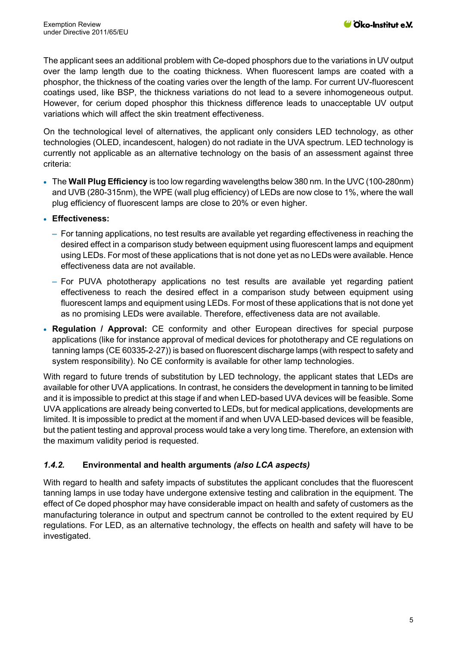The applicant sees an additional problem with Ce-doped phosphors due to the variations in UV output over the lamp length due to the coating thickness. When fluorescent lamps are coated with a phosphor, the thickness of the coating varies over the length of the lamp. For current UV-fluorescent coatings used, like BSP, the thickness variations do not lead to a severe inhomogeneous output. However, for cerium doped phosphor this thickness difference leads to unacceptable UV output variations which will affect the skin treatment effectiveness.

On the technological level of alternatives, the applicant only considers LED technology, as other technologies (OLED, incandescent, halogen) do not radiate in the UVA spectrum. LED technology is currently not applicable as an alternative technology on the basis of an assessment against three criteria:

- The **Wall Plug Efficiency** is too low regarding wavelengths below 380 nm. In the UVC (100-280nm) and UVB (280-315nm), the WPE (wall plug efficiency) of LEDs are now close to 1%, where the wall plug efficiency of fluorescent lamps are close to 20% or even higher.
- **Effectiveness:**
	- ‒ For tanning applications, no test results are available yet regarding effectiveness in reaching the desired effect in a comparison study between equipment using fluorescent lamps and equipment using LEDs. For most of these applications that is not done yet as no LEDs were available. Hence effectiveness data are not available.
	- ‒ For PUVA phototherapy applications no test results are available yet regarding patient effectiveness to reach the desired effect in a comparison study between equipment using fluorescent lamps and equipment using LEDs. For most of these applications that is not done yet as no promising LEDs were available. Therefore, effectiveness data are not available.
- **Regulation / Approval:** CE conformity and other European directives for special purpose applications (like for instance approval of medical devices for phototherapy and CE regulations on tanning lamps (CE 60335-2-27)) is based on fluorescent discharge lamps (with respect to safety and system responsibility). No CE conformity is available for other lamp technologies.

With regard to future trends of substitution by LED technology, the applicant states that LEDs are available for other UVA applications. In contrast, he considers the development in tanning to be limited and it is impossible to predict at this stage if and when LED-based UVA devices will be feasible. Some UVA applications are already being converted to LEDs, but for medical applications, developments are limited. It is impossible to predict at the moment if and when UVA LED-based devices will be feasible, but the patient testing and approval process would take a very long time. Therefore, an extension with the maximum validity period is requested.

# *1.4.2.* **Environmental and health arguments** *(also LCA aspects)*

With regard to health and safety impacts of substitutes the applicant concludes that the fluorescent tanning lamps in use today have undergone extensive testing and calibration in the equipment. The effect of Ce doped phosphor may have considerable impact on health and safety of customers as the manufacturing tolerance in output and spectrum cannot be controlled to the extent required by EU regulations. For LED, as an alternative technology, the effects on health and safety will have to be investigated.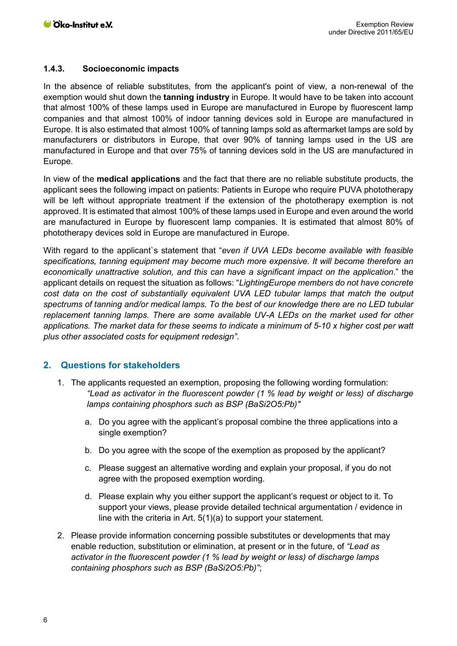#### **1.4.3. Socioeconomic impacts**

In the absence of reliable substitutes, from the applicant's point of view, a non-renewal of the exemption would shut down the **tanning industry** in Europe. It would have to be taken into account that almost 100% of these lamps used in Europe are manufactured in Europe by fluorescent lamp companies and that almost 100% of indoor tanning devices sold in Europe are manufactured in Europe. It is also estimated that almost 100% of tanning lamps sold as aftermarket lamps are sold by manufacturers or distributors in Europe, that over 90% of tanning lamps used in the US are manufactured in Europe and that over 75% of tanning devices sold in the US are manufactured in Europe.

In view of the **medical applications** and the fact that there are no reliable substitute products, the applicant sees the following impact on patients: Patients in Europe who require PUVA phototherapy will be left without appropriate treatment if the extension of the phototherapy exemption is not approved. It is estimated that almost 100% of these lamps used in Europe and even around the world are manufactured in Europe by fluorescent lamp companies. It is estimated that almost 80% of phototherapy devices sold in Europe are manufactured in Europe.

With regard to the applicant`s statement that "*even if UVA LEDs become available with feasible specifications, tanning equipment may become much more expensive. It will become therefore an economically unattractive solution, and this can have a significant impact on the application*." the applicant details on request the situation as follows: "*LightingEurope members do not have concrete cost data on the cost of substantially equivalent UVA LED tubular lamps that match the output spectrums of tanning and/or medical lamps. To the best of our knowledge there are no LED tubular replacement tanning lamps. There are some available UV-A LEDs on the market used for other applications. The market data for these seems to indicate a minimum of 5-10 x higher cost per watt plus other associated costs for equipment redesign"*.

# **2. Questions for stakeholders**

- 1. The applicants requested an exemption, proposing the following wording formulation: *"Lead as activator in the fluorescent powder (1 % lead by weight or less) of discharge lamps containing phosphors such as BSP (BaSi2O5:Pb)"* 
	- a. Do you agree with the applicant's proposal combine the three applications into a single exemption?
	- b. Do you agree with the scope of the exemption as proposed by the applicant?
	- c. Please suggest an alternative wording and explain your proposal, if you do not agree with the proposed exemption wording.
	- d. Please explain why you either support the applicant's request or object to it. To support your views, please provide detailed technical argumentation / evidence in line with the criteria in Art. 5(1)(a) to support your statement.
- 2. Please provide information concerning possible substitutes or developments that may enable reduction, substitution or elimination, at present or in the future, of *"Lead as activator in the fluorescent powder (1 % lead by weight or less) of discharge lamps containing phosphors such as BSP (BaSi2O5:Pb)"*;